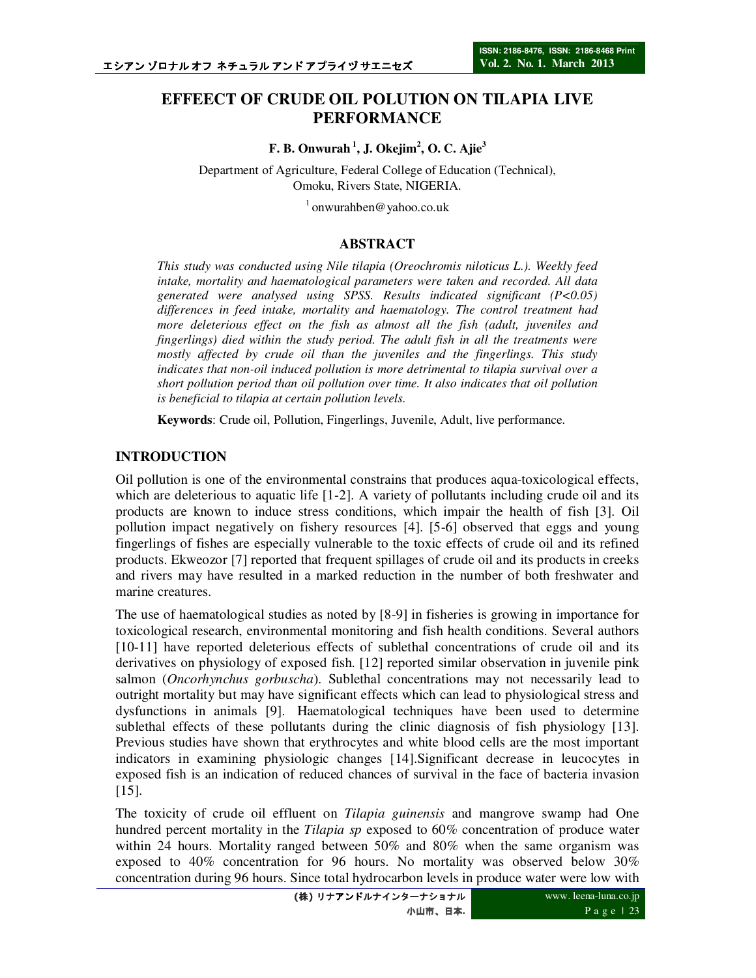# **EFFEECT OF CRUDE OIL POLUTION ON TILAPIA LIVE PERFORMANCE**

**F. B. Onwurah<sup>1</sup>, J. Okejim<sup>2</sup> , O. C. Ajie<sup>3</sup>**

Department of Agriculture, Federal College of Education (Technical), Omoku, Rivers State, NIGERIA.

 $1$ onwurahben@yahoo.co.uk

## **ABSTRACT**

*This study was conducted using Nile tilapia (Oreochromis niloticus L.). Weekly feed intake, mortality and haematological parameters were taken and recorded. All data generated were analysed using SPSS. Results indicated significant (P<0.05) differences in feed intake, mortality and haematology. The control treatment had more deleterious effect on the fish as almost all the fish (adult, juveniles and fingerlings) died within the study period. The adult fish in all the treatments were mostly affected by crude oil than the juveniles and the fingerlings. This study indicates that non-oil induced pollution is more detrimental to tilapia survival over a short pollution period than oil pollution over time. It also indicates that oil pollution is beneficial to tilapia at certain pollution levels.* 

**Keywords**: Crude oil, Pollution, Fingerlings, Juvenile, Adult, live performance.

#### **INTRODUCTION**

Oil pollution is one of the environmental constrains that produces aqua-toxicological effects, which are deleterious to aquatic life [1-2]. A variety of pollutants including crude oil and its products are known to induce stress conditions, which impair the health of fish [3]. Oil pollution impact negatively on fishery resources [4]. [5-6] observed that eggs and young fingerlings of fishes are especially vulnerable to the toxic effects of crude oil and its refined products. Ekweozor [7] reported that frequent spillages of crude oil and its products in creeks and rivers may have resulted in a marked reduction in the number of both freshwater and marine creatures.

The use of haematological studies as noted by [8-9] in fisheries is growing in importance for toxicological research, environmental monitoring and fish health conditions. Several authors [10-11] have reported deleterious effects of sublethal concentrations of crude oil and its derivatives on physiology of exposed fish. [12] reported similar observation in juvenile pink salmon (*Oncorhynchus gorbuscha*). Sublethal concentrations may not necessarily lead to outright mortality but may have significant effects which can lead to physiological stress and dysfunctions in animals [9]. Haematological techniques have been used to determine sublethal effects of these pollutants during the clinic diagnosis of fish physiology [13]. Previous studies have shown that erythrocytes and white blood cells are the most important indicators in examining physiologic changes [14].Significant decrease in leucocytes in exposed fish is an indication of reduced chances of survival in the face of bacteria invasion [15].

The toxicity of crude oil effluent on *Tilapia guinensis* and mangrove swamp had One hundred percent mortality in the *Tilapia sp* exposed to 60% concentration of produce water within 24 hours. Mortality ranged between 50% and 80% when the same organism was exposed to 40% concentration for 96 hours. No mortality was observed below 30% concentration during 96 hours. Since total hydrocarbon levels in produce water were low with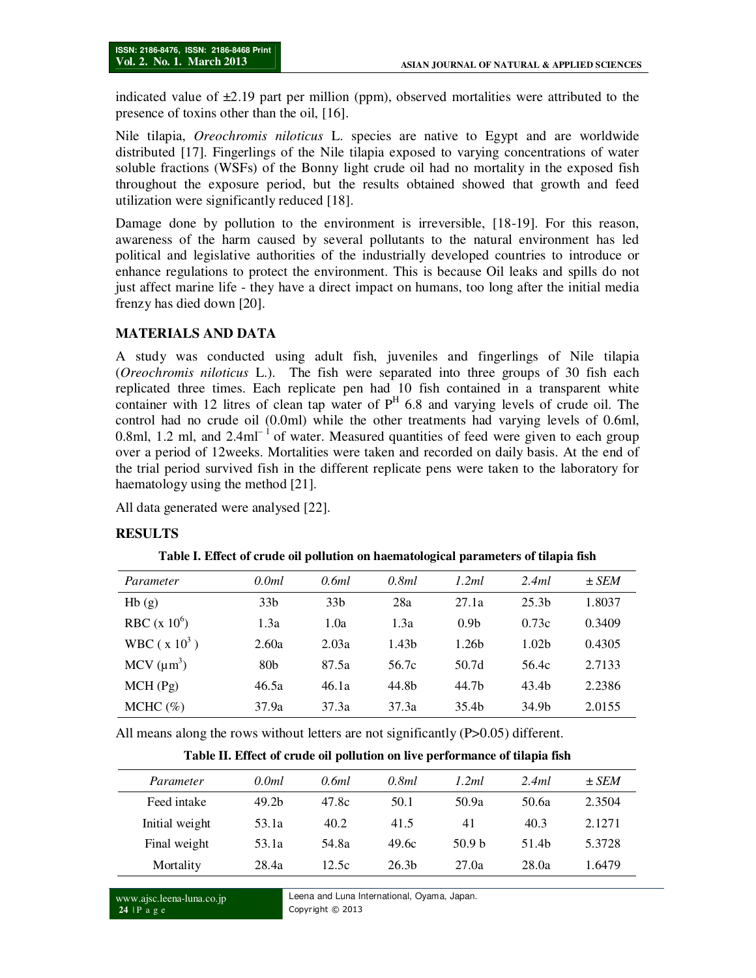indicated value of  $\pm 2.19$  part per million (ppm), observed mortalities were attributed to the presence of toxins other than the oil, [16].

Nile tilapia, *Oreochromis niloticus* L. species are native to Egypt and are worldwide distributed [17]. Fingerlings of the Nile tilapia exposed to varying concentrations of water soluble fractions (WSFs) of the Bonny light crude oil had no mortality in the exposed fish throughout the exposure period, but the results obtained showed that growth and feed utilization were significantly reduced [18].

Damage done by pollution to the environment is irreversible, [18-19]. For this reason, awareness of the harm caused by several pollutants to the natural environment has led political and legislative authorities of the industrially developed countries to introduce or enhance regulations to protect the environment. This is because Oil leaks and spills do not just affect marine life - they have a direct impact on humans, too long after the initial media frenzy has died down [20].

#### **MATERIALS AND DATA**

A study was conducted using adult fish, juveniles and fingerlings of Nile tilapia (*Oreochromis niloticus* L.). The fish were separated into three groups of 30 fish each replicated three times. Each replicate pen had 10 fish contained in a transparent white container with 12 litres of clean tap water of  $P<sup>H</sup>$  6.8 and varying levels of crude oil. The control had no crude oil (0.0ml) while the other treatments had varying levels of 0.6ml, 0.8ml, 1.2 ml, and  $2.4 \text{ml}^{-1}$  of water. Measured quantities of feed were given to each group over a period of 12weeks. Mortalities were taken and recorded on daily basis. At the end of the trial period survived fish in the different replicate pens were taken to the laboratory for haematology using the method [21].

All data generated were analysed [22].

#### **RESULTS**

|  |  | Table I. Effect of crude oil pollution on haematological parameters of tilapia fish |  |
|--|--|-------------------------------------------------------------------------------------|--|
|  |  |                                                                                     |  |

| Parameter            | 0.0ml           | 0.6ml           | 0.8ml             | 1.2ml             | 2.4ml             | $\pm$ SEM |
|----------------------|-----------------|-----------------|-------------------|-------------------|-------------------|-----------|
| Hb(g)                | 33 <sub>b</sub> | 33 <sub>b</sub> | 28a               | 27.1a             | 25.3 <sub>b</sub> | 1.8037    |
| RBC $(x 10^6)$       | 1.3a            | 1.0a            | 1.3a              | 0.9 <sub>b</sub>  | 0.73c             | 0.3409    |
| WBC ( $\rm x 10^3$ ) | 2.60a           | 2.03a           | 1.43 <sub>b</sub> | 1.26 <sub>b</sub> | 1.02 <sub>b</sub> | 0.4305    |
| MCV $(\mu m^3)$      | 80 <sub>b</sub> | 87.5a           | 56.7c             | 50.7d             | 56.4c             | 2.7133    |
| MCH(Pg)              | 46.5a           | 46.1a           | 44.8b             | 44.7b             | 43.4 <sub>b</sub> | 2.2386    |
| MCHC $(\%)$          | 37.9a           | 37.3a           | 37.3a             | 35.4b             | 34.9b             | 2.0155    |

All means along the rows without letters are not significantly (P>0.05) different.

**Table II. Effect of crude oil pollution on live performance of tilapia fish** 

| Parameter      | 0.0ml             | 0.6ml | 0.8ml             | 1.2ml             | 2.4ml | $\pm$ SEM |
|----------------|-------------------|-------|-------------------|-------------------|-------|-----------|
| Feed intake    | 49.2 <sub>b</sub> | 47.8c | 50.1              | 50.9a             | 50.6a | 2.3504    |
| Initial weight | 53.1a             | 40.2  | 41.5              | 41                | 40.3  | 2.1271    |
| Final weight   | 53.1a             | 54.8a | 49.6c             | 50.9 <sub>b</sub> | 51.4b | 5.3728    |
| Mortality      | 28.4a             | 12.5c | 26.3 <sub>b</sub> | 27.0a             | 28.0a | 1.6479    |

www.ajsc.leena-luna.co.jp **24** | P a g e

Leena and Luna International, Oyama, Japan. Copyright © 2013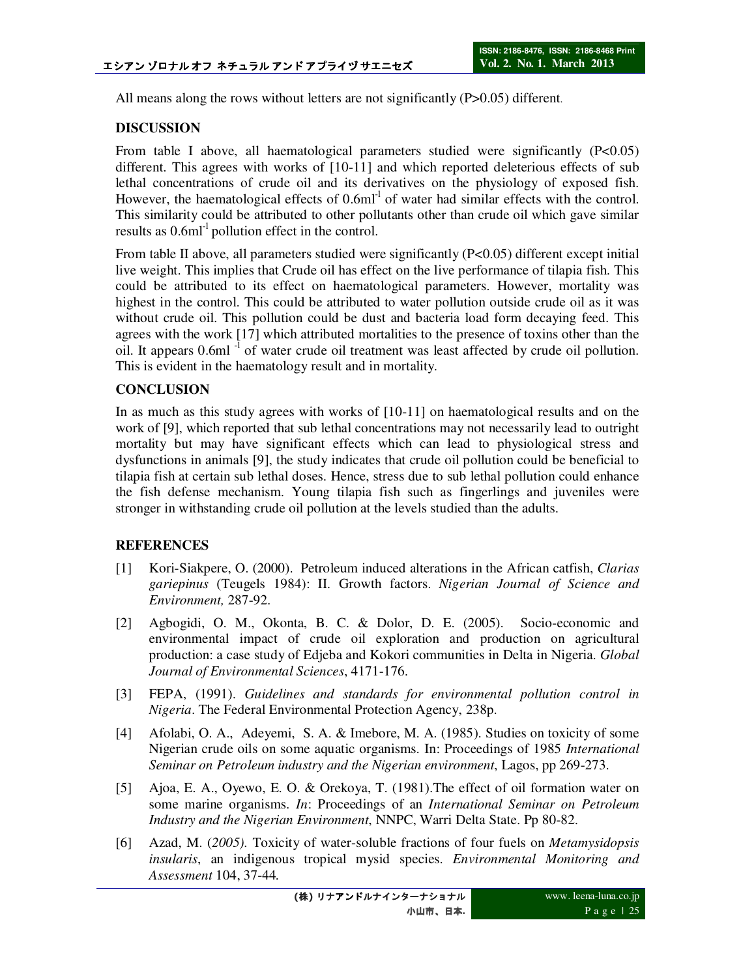All means along the rows without letters are not significantly (P>0.05) different.

## **DISCUSSION**

From table I above, all haematological parameters studied were significantly (P<0.05) different. This agrees with works of [10-11] and which reported deleterious effects of sub lethal concentrations of crude oil and its derivatives on the physiology of exposed fish. However, the haematological effects of  $0.6 \text{m}^{-1}$  of water had similar effects with the control. This similarity could be attributed to other pollutants other than crude oil which gave similar results as  $0.6$ ml<sup>-1</sup> pollution effect in the control.

From table II above, all parameters studied were significantly (P<0.05) different except initial live weight. This implies that Crude oil has effect on the live performance of tilapia fish. This could be attributed to its effect on haematological parameters. However, mortality was highest in the control. This could be attributed to water pollution outside crude oil as it was without crude oil. This pollution could be dust and bacteria load form decaying feed. This agrees with the work [17] which attributed mortalities to the presence of toxins other than the oil. It appears 0.6ml<sup>-1</sup> of water crude oil treatment was least affected by crude oil pollution. This is evident in the haematology result and in mortality.

# **CONCLUSION**

In as much as this study agrees with works of [10-11] on haematological results and on the work of [9], which reported that sub lethal concentrations may not necessarily lead to outright mortality but may have significant effects which can lead to physiological stress and dysfunctions in animals [9], the study indicates that crude oil pollution could be beneficial to tilapia fish at certain sub lethal doses. Hence, stress due to sub lethal pollution could enhance the fish defense mechanism. Young tilapia fish such as fingerlings and juveniles were stronger in withstanding crude oil pollution at the levels studied than the adults.

#### **REFERENCES**

- [1] Kori-Siakpere, O. (2000). Petroleum induced alterations in the African catfish, *Clarias gariepinus* (Teugels 1984): II. Growth factors. *Nigerian Journal of Science and Environment,* 287-92.
- [2] Agbogidi, O. M., Okonta, B. C. & Dolor, D. E. (2005). Socio-economic and environmental impact of crude oil exploration and production on agricultural production: a case study of Edjeba and Kokori communities in Delta in Nigeria. *Global Journal of Environmental Sciences*, 4171-176.
- [3] FEPA, (1991). *Guidelines and standards for environmental pollution control in Nigeria*. The Federal Environmental Protection Agency, 238p.
- [4] Afolabi, O. A., Adeyemi, S. A. & Imebore, M. A. (1985). Studies on toxicity of some Nigerian crude oils on some aquatic organisms. In: Proceedings of 1985 *International Seminar on Petroleum industry and the Nigerian environment*, Lagos, pp 269-273.
- [5] Ajoa, E. A., Oyewo, E. O. & Orekoya, T. (1981).The effect of oil formation water on some marine organisms. *In*: Proceedings of an *International Seminar on Petroleum Industry and the Nigerian Environment*, NNPC, Warri Delta State. Pp 80-82.
- [6] Azad, M. (*2005).* Toxicity of water-soluble fractions of four fuels on *Metamysidopsis insularis*, an indigenous tropical mysid species. *Environmental Monitoring and Assessment* 104, 37-44*.*